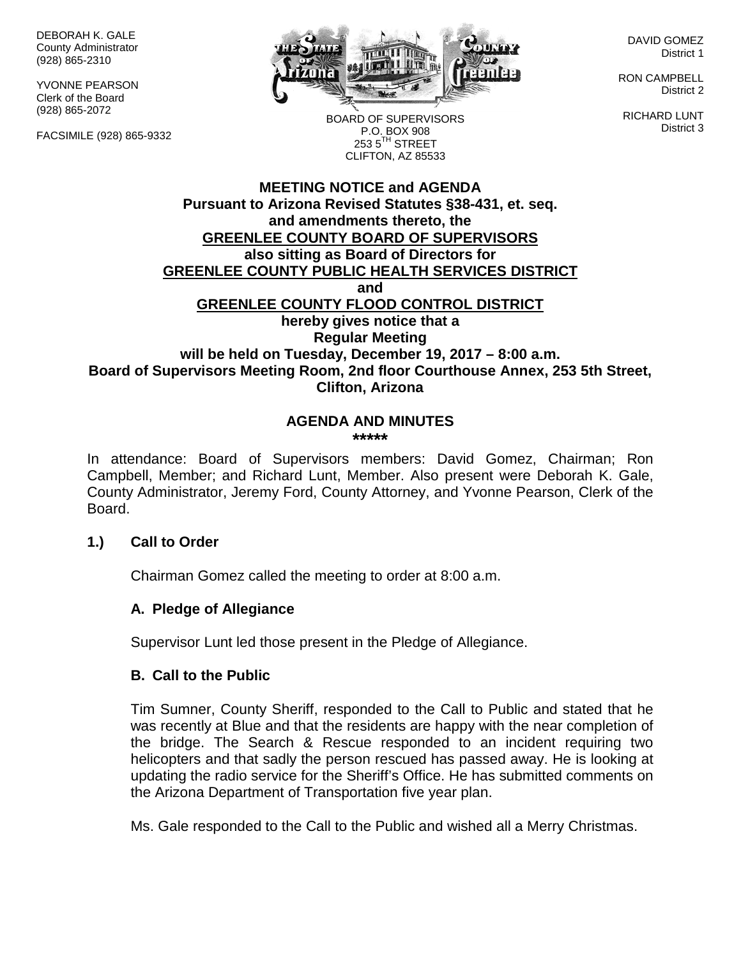DEBORAH K. GALE County Administrator (928) 865-2310

YVONNE PEARSON Clerk of the Board (928) 865-2072

FACSIMILE (928) 865-9332



DAVID GOMEZ District 1

RON CAMPBELL District 2

RICHARD LUNT District 3

BOARD OF SUPERVISORS P.O. BOX 908  $253.5$ <sup>TH</sup> STREET CLIFTON, AZ 85533

## **MEETING NOTICE and AGENDA Pursuant to Arizona Revised Statutes §38-431, et. seq. and amendments thereto, the GREENLEE COUNTY BOARD OF SUPERVISORS also sitting as Board of Directors for GREENLEE COUNTY PUBLIC HEALTH SERVICES DISTRICT and GREENLEE COUNTY FLOOD CONTROL DISTRICT hereby gives notice that a Regular Meeting will be held on Tuesday, December 19, 2017 – 8:00 a.m. Board of Supervisors Meeting Room, 2nd floor Courthouse Annex, 253 5th Street, Clifton, Arizona**

#### **AGENDA AND MINUTES \*\*\*\*\***

In attendance: Board of Supervisors members: David Gomez, Chairman; Ron Campbell, Member; and Richard Lunt, Member. Also present were Deborah K. Gale, County Administrator, Jeremy Ford, County Attorney, and Yvonne Pearson, Clerk of the Board.

## **1.) Call to Order**

Chairman Gomez called the meeting to order at 8:00 a.m.

## **A. Pledge of Allegiance**

Supervisor Lunt led those present in the Pledge of Allegiance.

## **B. Call to the Public**

Tim Sumner, County Sheriff, responded to the Call to Public and stated that he was recently at Blue and that the residents are happy with the near completion of the bridge. The Search & Rescue responded to an incident requiring two helicopters and that sadly the person rescued has passed away. He is looking at updating the radio service for the Sheriff's Office. He has submitted comments on the Arizona Department of Transportation five year plan.

Ms. Gale responded to the Call to the Public and wished all a Merry Christmas.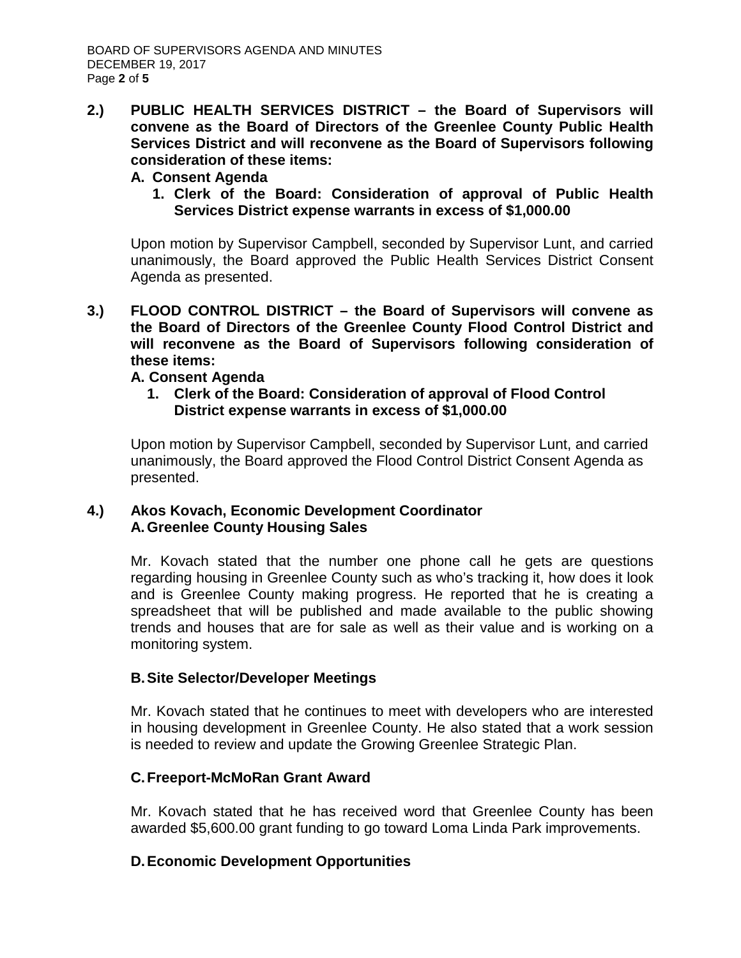**2.) PUBLIC HEALTH SERVICES DISTRICT – the Board of Supervisors will convene as the Board of Directors of the Greenlee County Public Health Services District and will reconvene as the Board of Supervisors following consideration of these items:**

## **A. Consent Agenda**

**1. Clerk of the Board: Consideration of approval of Public Health Services District expense warrants in excess of \$1,000.00**

Upon motion by Supervisor Campbell, seconded by Supervisor Lunt, and carried unanimously, the Board approved the Public Health Services District Consent Agenda as presented.

**3.) FLOOD CONTROL DISTRICT – the Board of Supervisors will convene as the Board of Directors of the Greenlee County Flood Control District and will reconvene as the Board of Supervisors following consideration of these items:**

## **A. Consent Agenda**

**1. Clerk of the Board: Consideration of approval of Flood Control District expense warrants in excess of \$1,000.00**

Upon motion by Supervisor Campbell, seconded by Supervisor Lunt, and carried unanimously, the Board approved the Flood Control District Consent Agenda as presented.

## **4.) Akos Kovach, Economic Development Coordinator A.Greenlee County Housing Sales**

Mr. Kovach stated that the number one phone call he gets are questions regarding housing in Greenlee County such as who's tracking it, how does it look and is Greenlee County making progress. He reported that he is creating a spreadsheet that will be published and made available to the public showing trends and houses that are for sale as well as their value and is working on a monitoring system.

# **B.Site Selector/Developer Meetings**

Mr. Kovach stated that he continues to meet with developers who are interested in housing development in Greenlee County. He also stated that a work session is needed to review and update the Growing Greenlee Strategic Plan.

# **C.Freeport-McMoRan Grant Award**

Mr. Kovach stated that he has received word that Greenlee County has been awarded \$5,600.00 grant funding to go toward Loma Linda Park improvements.

# **D.Economic Development Opportunities**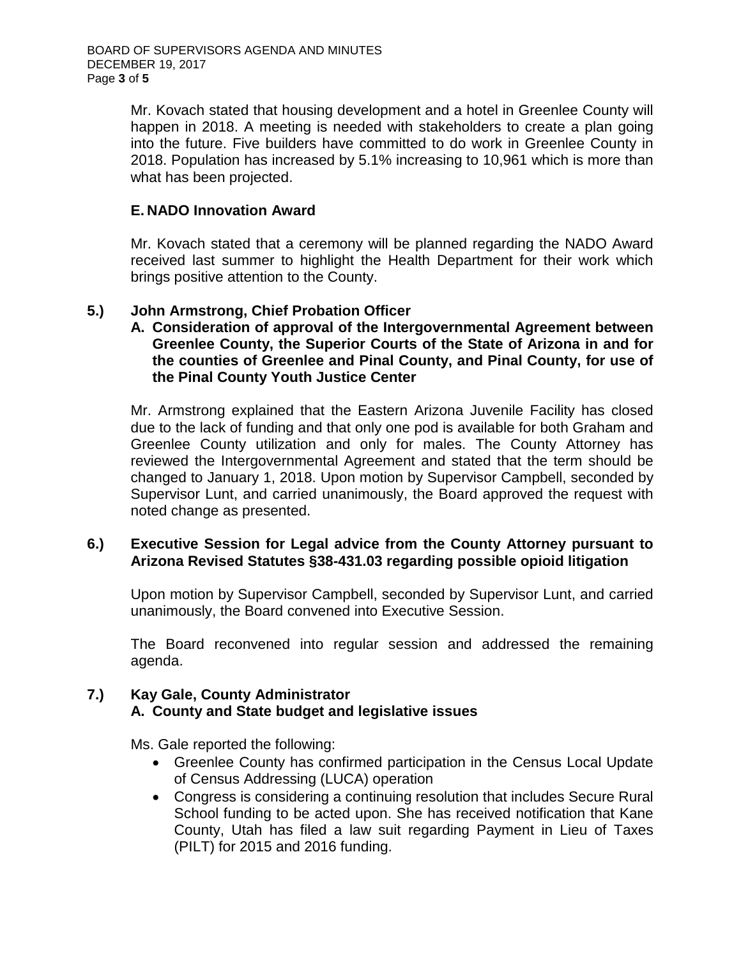Mr. Kovach stated that housing development and a hotel in Greenlee County will happen in 2018. A meeting is needed with stakeholders to create a plan going into the future. Five builders have committed to do work in Greenlee County in 2018. Population has increased by 5.1% increasing to 10,961 which is more than what has been projected.

## **E. NADO Innovation Award**

Mr. Kovach stated that a ceremony will be planned regarding the NADO Award received last summer to highlight the Health Department for their work which brings positive attention to the County.

## **5.) John Armstrong, Chief Probation Officer**

**A. Consideration of approval of the Intergovernmental Agreement between Greenlee County, the Superior Courts of the State of Arizona in and for the counties of Greenlee and Pinal County, and Pinal County, for use of the Pinal County Youth Justice Center**

Mr. Armstrong explained that the Eastern Arizona Juvenile Facility has closed due to the lack of funding and that only one pod is available for both Graham and Greenlee County utilization and only for males. The County Attorney has reviewed the Intergovernmental Agreement and stated that the term should be changed to January 1, 2018. Upon motion by Supervisor Campbell, seconded by Supervisor Lunt, and carried unanimously, the Board approved the request with noted change as presented.

## **6.) Executive Session for Legal advice from the County Attorney pursuant to Arizona Revised Statutes §38-431.03 regarding possible opioid litigation**

Upon motion by Supervisor Campbell, seconded by Supervisor Lunt, and carried unanimously, the Board convened into Executive Session.

The Board reconvened into regular session and addressed the remaining agenda.

#### **7.) Kay Gale, County Administrator A. County and State budget and legislative issues**

Ms. Gale reported the following:

- Greenlee County has confirmed participation in the Census Local Update of Census Addressing (LUCA) operation
- Congress is considering a continuing resolution that includes Secure Rural School funding to be acted upon. She has received notification that Kane County, Utah has filed a law suit regarding Payment in Lieu of Taxes (PILT) for 2015 and 2016 funding.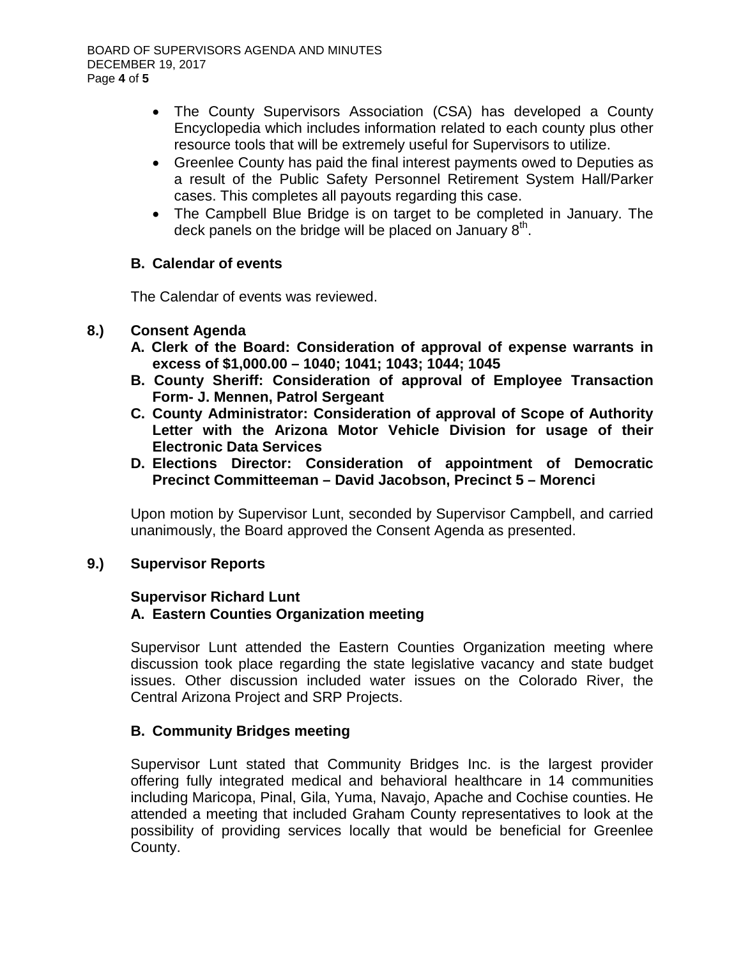- The County Supervisors Association (CSA) has developed a County Encyclopedia which includes information related to each county plus other resource tools that will be extremely useful for Supervisors to utilize.
- Greenlee County has paid the final interest payments owed to Deputies as a result of the Public Safety Personnel Retirement System Hall/Parker cases. This completes all payouts regarding this case.
- The Campbell Blue Bridge is on target to be completed in January. The deck panels on the bridge will be placed on January  $8<sup>th</sup>$ .

## **B. Calendar of events**

The Calendar of events was reviewed.

## **8.) Consent Agenda**

- **A. Clerk of the Board: Consideration of approval of expense warrants in excess of \$1,000.00 – 1040; 1041; 1043; 1044; 1045**
- **B. County Sheriff: Consideration of approval of Employee Transaction Form- J. Mennen, Patrol Sergeant**
- **C. County Administrator: Consideration of approval of Scope of Authority Letter with the Arizona Motor Vehicle Division for usage of their Electronic Data Services**
- **D. Elections Director: Consideration of appointment of Democratic Precinct Committeeman – David Jacobson, Precinct 5 – Morenci**

Upon motion by Supervisor Lunt, seconded by Supervisor Campbell, and carried unanimously, the Board approved the Consent Agenda as presented.

# **9.) Supervisor Reports**

#### **Supervisor Richard Lunt A. Eastern Counties Organization meeting**

Supervisor Lunt attended the Eastern Counties Organization meeting where discussion took place regarding the state legislative vacancy and state budget issues. Other discussion included water issues on the Colorado River, the Central Arizona Project and SRP Projects.

## **B. Community Bridges meeting**

Supervisor Lunt stated that Community Bridges Inc. is the largest provider offering fully integrated medical and behavioral healthcare in 14 communities including Maricopa, Pinal, Gila, Yuma, Navajo, Apache and Cochise counties. He attended a meeting that included Graham County representatives to look at the possibility of providing services locally that would be beneficial for Greenlee County.